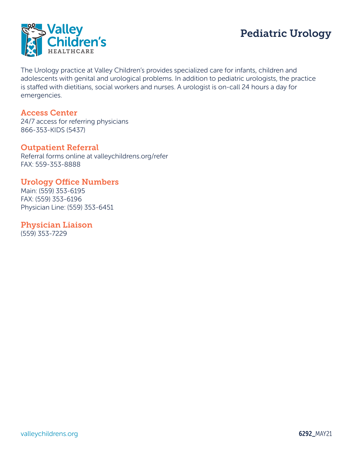

The Urology practice at Valley Children's provides specialized care for infants, children and adolescents with genital and urological problems. In addition to pediatric urologists, the practice is staffed with dietitians, social workers and nurses. A urologist is on-call 24 hours a day for emergencies.

### Access Center

24/7 access for referring physicians 866-353-KIDS (5437)

### Outpatient Referral

Referral forms online at valleychildrens.org/refer FAX: 559-353-8888

### Urology Office Numbers

Main: (559) 353-6195 FAX: (559) 353-6196 Physician Line: (559) 353-6451

Physician Liaison (559) 353-7229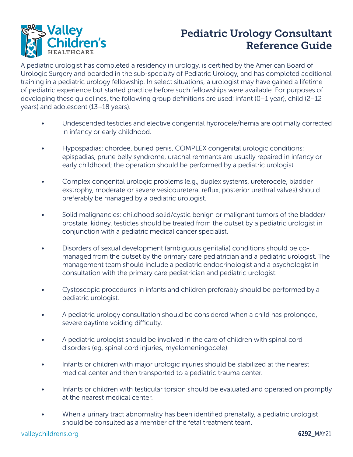

### Pediatric Urology Consultant Reference Guide

A pediatric urologist has completed a residency in urology, is certified by the American Board of Urologic Surgery and boarded in the sub-specialty of Pediatric Urology, and has completed additional training in a pediatric urology fellowship. In select situations, a urologist may have gained a lifetime of pediatric experience but started practice before such fellowships were available. For purposes of developing these guidelines, the following group definitions are used: infant (0–1 year), child (2–12 years) and adolescent (13–18 years).

- Undescended testicles and elective congenital hydrocele/hernia are optimally corrected in infancy or early childhood.
- Hypospadias: chordee, buried penis, COMPLEX congenital urologic conditions: epispadias, prune belly syndrome, urachal remnants are usually repaired in infancy or early childhood; the operation should be performed by a pediatric urologist.
- Complex congenital urologic problems (e.g., duplex systems, ureterocele, bladder exstrophy, moderate or severe vesicoureteral reflux, posterior urethral valves) should preferably be managed by a pediatric urologist.
- Solid malignancies: childhood solid/cystic benign or malignant tumors of the bladder/ prostate, kidney, testicles should be treated from the outset by a pediatric urologist in conjunction with a pediatric medical cancer specialist.
- Disorders of sexual development (ambiguous genitalia) conditions should be co managed from the outset by the primary care pediatrician and a pediatric urologist. The management team should include a pediatric endocrinologist and a psychologist in consultation with the primary care pediatrician and pediatric urologist.
- Cystoscopic procedures in infants and children preferably should be performed by a pediatric urologist.
- A pediatric urology consultation should be considered when a child has prolonged, severe daytime voiding difficulty.
- A pediatric urologist should be involved in the care of children with spinal cord disorders (eg, spinal cord injuries, myelomeningocele).
- Infants or children with major urologic injuries should be stabilized at the nearest medical center and then transported to a pediatric trauma center.
- Infants or children with testicular torsion should be evaluated and operated on promptly at the nearest medical center.
- When a urinary tract abnormality has been identified prenatally, a pediatric urologist should be consulted as a member of the fetal treatment team.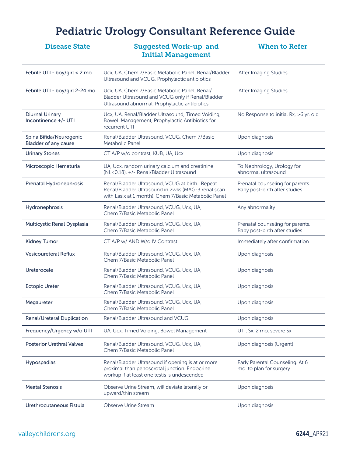# Pediatric Urology Consultant Reference Guide

| <b>Disease State</b>                            | <b>Suggested Work-up and</b><br><b>Initial Management</b>                                                                                                     | <b>When to Refer</b>                                              |
|-------------------------------------------------|---------------------------------------------------------------------------------------------------------------------------------------------------------------|-------------------------------------------------------------------|
| Febrile UTI - boy/girl < 2 mo.                  | Ucx, UA, Chem 7/Basic Metabolic Panel, Renal/Bladder<br>Ultrasound and VCUG. Prophylactic antibiotics                                                         | After Imaging Studies                                             |
| Febrile UTI - boy/girl 2-24 mo.                 | Ucx, UA, Chem 7/Basic Metabolic Panel, Renal/<br>Bladder Ultrasound and VCUG only if Renal/Bladder<br>Ultrasound abnormal. Prophylactic antibiotics           | After Imaging Studies                                             |
| <b>Diurnal Urinary</b><br>Incontinence +/- UTI  | Ucx, UA, Renal/Bladder Ultrasound, Timed Voiding,<br>Bowel Management, Prophylactic Antibiotics for<br>recurrent UTI                                          | No Response to initial Rx, >6 yr. old                             |
| Spina Bifida/Neurogenic<br>Bladder of any cause | Renal/Bladder Ultrasound, VCUG, Chem 7/Basic<br>Metabolic Panel                                                                                               | Upon diagnosis                                                    |
| <b>Urinary Stones</b>                           | CT A/P w/o contrast, KUB, UA, Ucx                                                                                                                             | Upon diagnosis                                                    |
| Microscopic Hematuria                           | UA, Ucx, random urinary calcium and creatinine<br>(NL<0.18), +/- Renal/Bladder Ultrasound                                                                     | To Nephrology, Urology for<br>abnormal ultrasound                 |
| Prenatal Hydronephrosis                         | Renal/Bladder Ultrasound, VCUG at birth. Repeat<br>Renal/Bladder Ultrasound in 2wks (MAG-3 renal scan<br>with Lasix at 1 month). Chem 7/Basic Metabolic Panel | Prenatal counseling for parents.<br>Baby post-birth after studies |
| Hydronephrosis                                  | Renal/Bladder Ultrasound, VCUG, Ucx, UA,<br>Chem 7/Basic Metabolic Panel                                                                                      | Any abnormality                                                   |
| Multicystic Renal Dysplasia                     | Renal/Bladder Ultrasound, VCUG, Ucx, UA,<br>Chem 7/Basic Metabolic Panel                                                                                      | Prenatal counseling for parents.<br>Baby post-birth after studies |
| <b>Kidney Tumor</b>                             | CT A/P w/ AND W/o IV Contrast                                                                                                                                 | Immediately after confirmation                                    |
| <b>Vesicoureteral Reflux</b>                    | Renal/Bladder Ultrasound, VCUG, Ucx, UA,<br>Chem 7/Basic Metabolic Panel                                                                                      | Upon diagnosis                                                    |
| Ureterocele                                     | Renal/Bladder Ultrasound, VCUG, Ucx, UA,<br>Chem 7/Basic Metabolic Panel                                                                                      | Upon diagnosis                                                    |
| <b>Ectopic Ureter</b>                           | Renal/Bladder Ultrasound, VCUG, Ucx, UA,<br>Chem 7/Basic Metabolic Panel                                                                                      | Upon diagnosis                                                    |
| Megaureter                                      | Renal/Bladder Ultrasound, VCUG, Ucx, UA,<br>Chem 7/Basic Metabolic Panel                                                                                      | Upon diagnosis                                                    |
| <b>Renal/Ureteral Duplication</b>               | Renal/Bladder Ultrasound and VCUG                                                                                                                             | Upon diagnosis                                                    |
| Frequency/Urgency w/o UTI                       | UA, Ucx. Timed Voiding, Bowel Management                                                                                                                      | UTI, Sx. 2 mo, severe Sx                                          |
| <b>Posterior Urethral Valves</b>                | Renal/Bladder Ultrasound, VCUG, Ucx, UA,<br>Chem 7/Basic Metabolic Panel                                                                                      | Upon diagnosis (Urgent)                                           |
| Hypospadias                                     | Renal/Bladder Ultrasound if opening is at or more<br>proximal than penoscrotal junction. Endocrine<br>workup if at least one testis is undescended            | Early Parental Counseling. At 6<br>mo. to plan for surgery        |
| <b>Meatal Stenosis</b>                          | Observe Urine Stream, will deviate laterally or<br>upward/thin stream                                                                                         | Upon diagnosis                                                    |
| Urethrocutaneous Fistula                        | Observe Urine Stream                                                                                                                                          | Upon diagnosis                                                    |